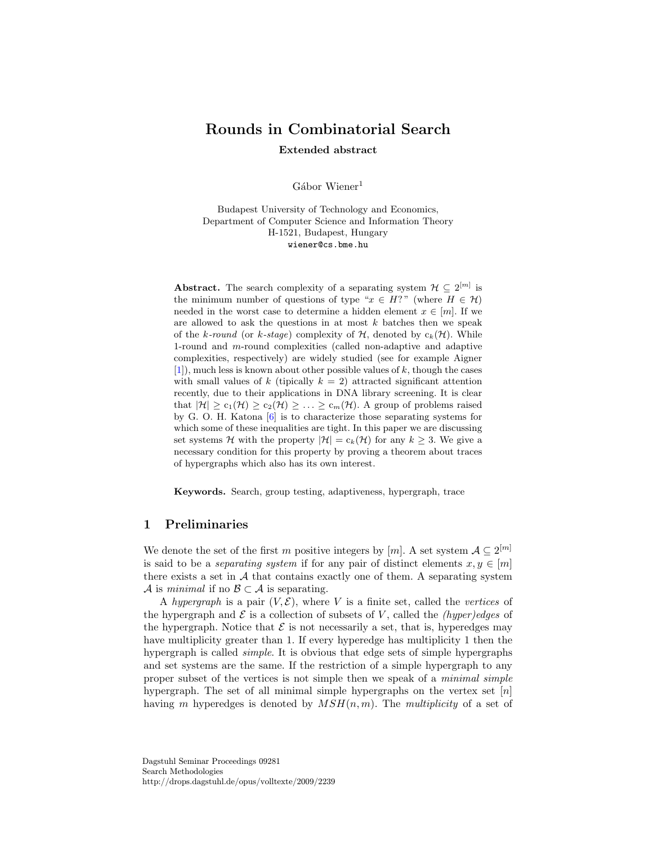# Rounds in Combinatorial Search Extended abstract

 $Gábor Wiener<sup>1</sup>$ 

Budapest University of Technology and Economics, Department of Computer Science and Information Theory H-1521, Budapest, Hungary wiener@cs.bme.hu

**Abstract.** The search complexity of a separating system  $\mathcal{H} \subseteq 2^{[m]}$  is the minimum number of questions of type " $x \in H$ ?" (where  $H \in \mathcal{H}$ ) needed in the worst case to determine a hidden element  $x \in [m]$ . If we are allowed to ask the questions in at most  $k$  batches then we speak of the k-round (or k-stage) complexity of  $H$ , denoted by  $c_k(\mathcal{H})$ . While 1-round and m-round complexities (called non-adaptive and adaptive complexities, respectively) are widely studied (see for example Aigner  $[1]$ , much less is known about other possible values of k, though the cases with small values of k (tipically  $k = 2$ ) attracted significant attention recently, due to their applications in DNA library screening. It is clear that  $|\mathcal{H}| \geq c_1(\mathcal{H}) \geq c_2(\mathcal{H}) \geq \ldots \geq c_m(\mathcal{H})$ . A group of problems raised by G. O. H. Katona [\[6\]](#page-4-1) is to characterize those separating systems for which some of these inequalities are tight. In this paper we are discussing set systems H with the property  $|\mathcal{H}| = c_k(\mathcal{H})$  for any  $k \geq 3$ . We give a necessary condition for this property by proving a theorem about traces of hypergraphs which also has its own interest.

Keywords. Search, group testing, adaptiveness, hypergraph, trace

# 1 Preliminaries

We denote the set of the first m positive integers by [m]. A set system  $A \subseteq 2^{[m]}$ is said to be a *separating system* if for any pair of distinct elements  $x, y \in [m]$ there exists a set in  $A$  that contains exactly one of them. A separating system A is minimal if no  $\mathcal{B} \subset \mathcal{A}$  is separating.

A hypergraph is a pair  $(V, \mathcal{E})$ , where V is a finite set, called the vertices of the hypergraph and  $\mathcal E$  is a collection of subsets of V, called the *(hyper)edges* of the hypergraph. Notice that  $\mathcal E$  is not necessarily a set, that is, hyperedges may have multiplicity greater than 1. If every hyperedge has multiplicity 1 then the hypergraph is called *simple*. It is obvious that edge sets of simple hypergraphs and set systems are the same. If the restriction of a simple hypergraph to any proper subset of the vertices is not simple then we speak of a minimal simple hypergraph. The set of all minimal simple hypergraphs on the vertex set  $[n]$ having m hyperedges is denoted by  $MSH(n, m)$ . The multiplicity of a set of

Dagstuhl Seminar Proceedings 09281 Search Methodologies http://drops.dagstuhl.de/opus/volltexte/2009/2239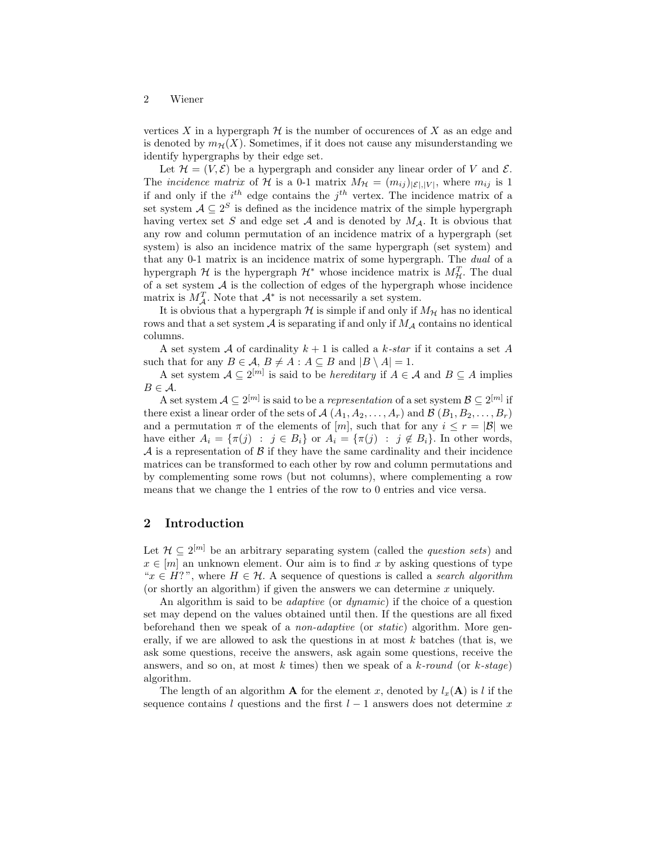vertices X in a hypergraph  $\mathcal H$  is the number of occurences of X as an edge and is denoted by  $m_{\mathcal{H}}(X)$ . Sometimes, if it does not cause any misunderstanding we identify hypergraphs by their edge set.

Let  $\mathcal{H} = (V, \mathcal{E})$  be a hypergraph and consider any linear order of V and  $\mathcal{E}$ . The *incidence matrix* of H is a 0-1 matrix  $M_{\mathcal{H}} = (m_{ij})_{|\mathcal{E}|, |V|}$ , where  $m_{ij}$  is 1 if and only if the  $i^{th}$  edge contains the  $j^{th}$  vertex. The incidence matrix of a set system  $A \subseteq 2^S$  is defined as the incidence matrix of the simple hypergraph having vertex set S and edge set A and is denoted by  $M_A$ . It is obvious that any row and column permutation of an incidence matrix of a hypergraph (set system) is also an incidence matrix of the same hypergraph (set system) and that any 0-1 matrix is an incidence matrix of some hypergraph. The dual of a hypergraph  $\mathcal H$  is the hypergraph  $\mathcal H^*$  whose incidence matrix is  $M_{\mathcal H}^T$ . The dual of a set system  $A$  is the collection of edges of the hypergraph whose incidence matrix is  $M_A^T$ . Note that  $\mathcal{A}^*$  is not necessarily a set system.

It is obvious that a hypergraph  $H$  is simple if and only if  $M_H$  has no identical rows and that a set system  $A$  is separating if and only if  $M_A$  contains no identical columns.

A set system A of cardinality  $k+1$  is called a k-star if it contains a set A such that for any  $B \in \mathcal{A}, B \neq A : A \subseteq B$  and  $|B \setminus A| = 1$ .

A set system  $A \subseteq 2^{[m]}$  is said to be *hereditary* if  $A \in \mathcal{A}$  and  $B \subseteq A$  implies  $B \in \mathcal{A}$ .

A set system  $\mathcal{A} \subseteq 2^{[m]}$  is said to be a *representation* of a set system  $\mathcal{B} \subseteq 2^{[m]}$  if there exist a linear order of the sets of  $A(A_1, A_2, \ldots, A_r)$  and  $B(B_1, B_2, \ldots, B_r)$ and a permutation  $\pi$  of the elements of  $[m]$ , such that for any  $i \leq r = |\mathcal{B}|$  we have either  $A_i = \{\pi(j) : j \in B_i\}$  or  $A_i = \{\pi(j) : j \notin B_i\}$ . In other words,  $A$  is a representation of  $B$  if they have the same cardinality and their incidence matrices can be transformed to each other by row and column permutations and by complementing some rows (but not columns), where complementing a row means that we change the 1 entries of the row to 0 entries and vice versa.

## 2 Introduction

Let  $\mathcal{H} \subseteq 2^{[m]}$  be an arbitrary separating system (called the *question sets*) and  $x \in [m]$  an unknown element. Our aim is to find x by asking questions of type " $x \in H$ ?", where  $H \in \mathcal{H}$ . A sequence of questions is called a *search algorithm* (or shortly an algorithm) if given the answers we can determine x uniquely.

An algorithm is said to be *adaptive* (or *dynamic*) if the choice of a question set may depend on the values obtained until then. If the questions are all fixed beforehand then we speak of a *non-adaptive* (or *static*) algorithm. More generally, if we are allowed to ask the questions in at most  $k$  batches (that is, we ask some questions, receive the answers, ask again some questions, receive the answers, and so on, at most k times) then we speak of a k-round (or k-stage) algorithm.

The length of an algorithm **A** for the element x, denoted by  $l_x(\mathbf{A})$  is l if the sequence contains l questions and the first  $l-1$  answers does not determine x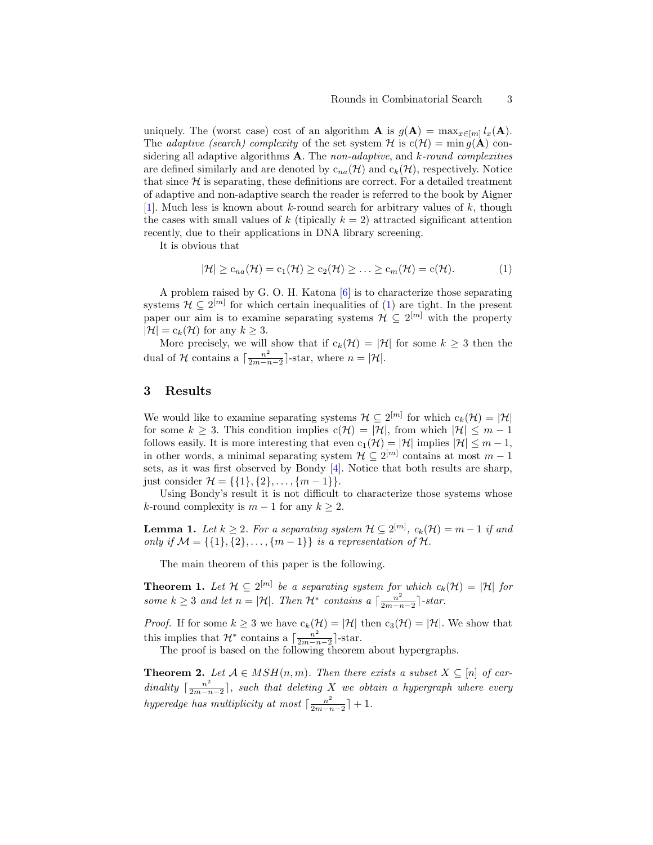### Rounds in Combinatorial Search 3

uniquely. The (worst case) cost of an algorithm **A** is  $g(A) = \max_{x \in [m]} l_x(A)$ . The *adaptive (search)* complexity of the set system H is  $c(\mathcal{H}) = \min g(\mathbf{A})$  considering all adaptive algorithms  $\bf{A}$ . The non-adaptive, and k-round complexities are defined similarly and are denoted by  $c_{na}(\mathcal{H})$  and  $c_k(\mathcal{H})$ , respectively. Notice that since  $H$  is separating, these definitions are correct. For a detailed treatment of adaptive and non-adaptive search the reader is referred to the book by Aigner [\[1\]](#page-4-0). Much less is known about k-round search for arbitrary values of  $k$ , though the cases with small values of k (tipically  $k = 2$ ) attracted significant attention recently, due to their applications in DNA library screening.

It is obvious that

<span id="page-2-0"></span>
$$
|\mathcal{H}| \geq c_{na}(\mathcal{H}) = c_1(\mathcal{H}) \geq c_2(\mathcal{H}) \geq \ldots \geq c_m(\mathcal{H}) = c(\mathcal{H}). \tag{1}
$$

A problem raised by G. O. H. Katona [\[6\]](#page-4-1) is to characterize those separating systems  $\mathcal{H} \subseteq 2^{[m]}$  for which certain inequalities of [\(1\)](#page-2-0) are tight. In the present paper our aim is to examine separating systems  $\mathcal{H} \subseteq 2^{[m]}$  with the property  $|\mathcal{H}| = c_k(\mathcal{H})$  for any  $k \geq 3$ .

More precisely, we will show that if  $c_k(\mathcal{H}) = |\mathcal{H}|$  for some  $k \geq 3$  then the dual of H contains a  $\left[\frac{n^2}{2m}\right]$  $\frac{n^2}{2m-n-2}$ -star, where  $n = |\mathcal{H}|$ .

## 3 Results

We would like to examine separating systems  $\mathcal{H} \subseteq 2^{[m]}$  for which  $c_k(\mathcal{H}) = |\mathcal{H}|$ for some  $k \geq 3$ . This condition implies  $c(\mathcal{H}) = |\mathcal{H}|$ , from which  $|\mathcal{H}| \leq m - 1$ follows easily. It is more interesting that even  $c_1(\mathcal{H}) = |\mathcal{H}|$  implies  $|\mathcal{H}| \leq m - 1$ , in other words, a minimal separating system  $\mathcal{H} \subseteq 2^{[m]}$  contains at most  $m-1$ sets, as it was first observed by Bondy [\[4\]](#page-4-2). Notice that both results are sharp, just consider  $\mathcal{H} = \{\{1\}, \{2\}, \ldots, \{m-1\}\}.$ 

Using Bondy's result it is not difficult to characterize those systems whose k-round complexity is  $m-1$  for any  $k \geq 2$ .

<span id="page-2-2"></span>**Lemma 1.** Let  $k \geq 2$ . For a separating system  $\mathcal{H} \subseteq 2^{[m]}$ ,  $c_k(\mathcal{H}) = m - 1$  if and only if  $\mathcal{M} = \{ \{1\}, \{2\}, \ldots, \{m-1\} \}$  is a representation of  $\mathcal{H}$ .

The main theorem of this paper is the following.

**Theorem 1.** Let  $\mathcal{H} \subseteq 2^{[m]}$  be a separating system for which  $c_k(\mathcal{H}) = |\mathcal{H}|$  for some  $k \geq 3$  and let  $n = |\mathcal{H}|$ . Then  $\mathcal{H}^*$  contains a  $\lceil \frac{n^2}{2m - r} \rceil$  $\frac{n^2}{2m-n-2}$  -star.

*Proof.* If for some  $k \geq 3$  we have  $c_k(\mathcal{H}) = |\mathcal{H}|$  then  $c_3(\mathcal{H}) = |\mathcal{H}|$ . We show that this implies that  $\mathcal{H}^*$  contains a  $\left[\frac{n^2}{2m-1}\right]$  $\frac{n^2}{2m-n-2}$  -star.

The proof is based on the following theorem about hypergraphs.

<span id="page-2-1"></span>**Theorem 2.** Let  $A \in MSH(n,m)$ . Then there exists a subset  $X \subseteq [n]$  of cardinality  $\lceil \frac{n^2}{2m-r} \rceil$  $\frac{n^2}{2m-n-2}$ , such that deleting X we obtain a hypergraph where every hyperedge has multiplicity at most  $\lceil \frac{n^2}{2m} \rceil$  $\frac{n^2}{2m-n-2}$  + 1.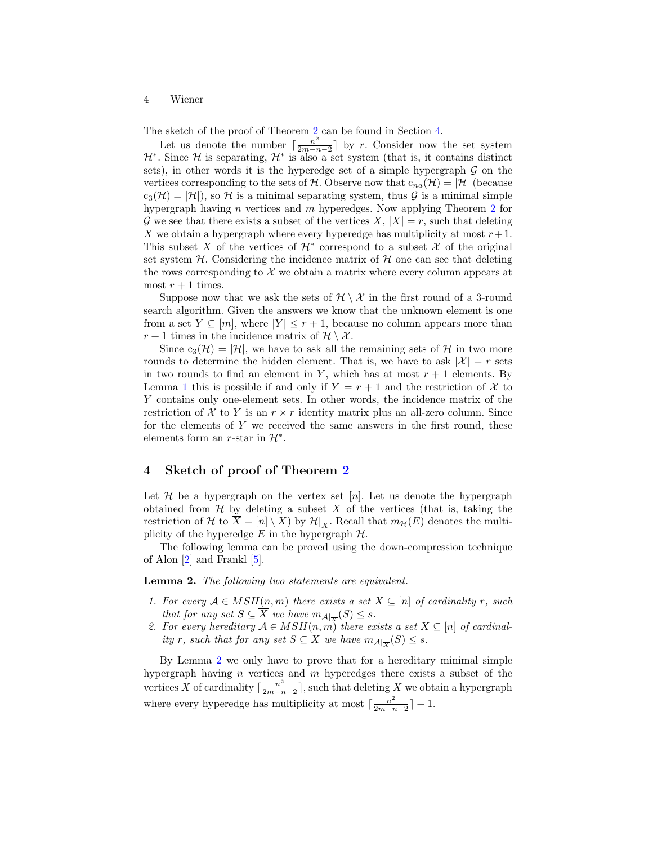### 4 Wiener

The sketch of the proof of Theorem [2](#page-2-1) can be found in Section [4.](#page-3-0)

Let us denote the number  $\lceil \frac{n^2}{2m-r} \rceil$  $\frac{n^2}{2m-n-2}$  by r. Consider now the set system  $\mathcal{H}^*$ . Since  $\mathcal H$  is separating,  $\mathcal{H}^*$  is also a set system (that is, it contains distinct sets), in other words it is the hyperedge set of a simple hypergraph  $G$  on the vertices corresponding to the sets of H. Observe now that  $c_{na}(\mathcal{H}) = |\mathcal{H}|$  (because  $c_3(\mathcal{H}) = |\mathcal{H}|$ , so H is a minimal separating system, thus G is a minimal simple hypergraph having *n* vertices and *m* hyperedges. Now applying Theorem [2](#page-2-1) for G we see that there exists a subset of the vertices  $X, |X| = r$ , such that deleting X we obtain a hypergraph where every hyperedge has multiplicity at most  $r+1$ . This subset X of the vertices of  $\mathcal{H}^*$  correspond to a subset X of the original set system  $H$ . Considering the incidence matrix of  $H$  one can see that deleting the rows corresponding to  $\mathcal X$  we obtain a matrix where every column appears at most  $r + 1$  times.

Suppose now that we ask the sets of  $\mathcal{H} \setminus \mathcal{X}$  in the first round of a 3-round search algorithm. Given the answers we know that the unknown element is one from a set  $Y \subseteq [m]$ , where  $|Y| \leq r+1$ , because no column appears more than  $r + 1$  times in the incidence matrix of  $\mathcal{H} \setminus \mathcal{X}$ .

Since  $c_3(\mathcal{H}) = |\mathcal{H}|$ , we have to ask all the remaining sets of  $\mathcal{H}$  in two more rounds to determine the hidden element. That is, we have to ask  $|\mathcal{X}| = r$  sets in two rounds to find an element in Y, which has at most  $r + 1$  elements. By Lemma [1](#page-2-2) this is possible if and only if  $Y = r + 1$  and the restriction of X to Y contains only one-element sets. In other words, the incidence matrix of the restriction of X to Y is an  $r \times r$  identity matrix plus an all-zero column. Since for the elements of  $Y$  we received the same answers in the first round, these elements form an r-star in  $\mathcal{H}^*$ .

# <span id="page-3-0"></span>4 Sketch of proof of Theorem [2](#page-2-1)

Let H be a hypergraph on the vertex set [n]. Let us denote the hypergraph obtained from  $H$  by deleting a subset X of the vertices (that is, taking the restriction of H to  $\overline{X} = [n] \setminus X$  by  $\mathcal{H}|_{\overline{X}}$ . Recall that  $m_{\mathcal{H}}(E)$  denotes the multiplicity of the hyperedge  $E$  in the hypergraph  $H$ .

The following lemma can be proved using the down-compression technique of Alon [\[2\]](#page-4-3) and Frankl [\[5\]](#page-4-4).

<span id="page-3-1"></span>Lemma 2. The following two statements are equivalent.

- 1. For every  $A \in MSH(n,m)$  there exists a set  $X \subseteq [n]$  of cardinality r, such that for any set  $S \subseteq \overline{X}$  we have  $m_{\mathcal{A}|_{\overline{X}}}(S) \leq s$ .
- 2. For every hereditary  $A \in MSH(n, m)$  there exists a set  $X \subseteq [n]$  of cardinality r, such that for any set  $S \subseteq \overline{X}$  we have  $m_{\mathcal{A}}|_{\overline{X}}(S) \leq s$ .

By Lemma [2](#page-3-1) we only have to prove that for a hereditary minimal simple hypergraph having n vertices and m hyperedges there exists a subset of the vertices X of cardinality  $\lceil \frac{n^2}{2m-r} \rceil$  $\frac{n^2}{2m-n-2}$ , such that deleting X we obtain a hypergraph where every hyperedge has multiplicity at most  $\lceil \frac{n^2}{2m} \rceil$  $\frac{n^2}{2m-n-2}$  + 1.